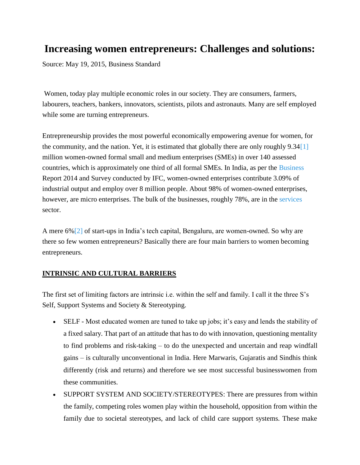# **Increasing women entrepreneurs: Challenges and solutions:**

Source: May 19, 2015, Business Standard

Women, today play multiple economic roles in our society. They are consumers, farmers, labourers, teachers, bankers, innovators, scientists, pilots and astronauts. Many are self employed while some are turning entrepreneurs.

Entrepreneurship provides the most powerful economically empowering avenue for women, for the community, and the nation. Yet, it is estimated that globally there are only roughly 9.3[4\[1\]](file:///C:/Users/TANMAY~1/AppData/Local/Temp/notes142542/~7046125.docx) million women-owned formal small and medium enterprises (SMEs) in over 140 assessed countries, which is approximately one third of all formal SMEs. In India, as per the [Business](http://www.business-standard.com/search?type=news&q=Business)  Report 2014 and Survey conducted by IFC, women-owned enterprises contribute 3.09% of industrial output and employ over 8 million people. About 98% of women-owned enterprises, however, are micro enterprises. The bulk of the businesses, roughly 78%, are in the services sector.

A mere 6[%\[2\]](file:///C:/Users/TANMAY~1/AppData/Local/Temp/notes142542/~7046125.docx) of start-ups in India's tech capital, Bengaluru, are women-owned. So why are there so few women entrepreneurs? Basically there are four main barriers to women becoming entrepreneurs.

## **INTRINSIC AND CULTURAL BARRIERS**

The first set of limiting factors are intrinsic i.e. within the self and family. I call it the three S's Self, Support Systems and Society & Stereotyping.

- SELF Most educated women are tuned to take up jobs; it's easy and lends the stability of a fixed salary. That part of an attitude that has to do with innovation, questioning mentality to find problems and [risk-taking –](http://www.business-standard.com/search?type=news&q=Risk-taking) to do the unexpected and uncertain and reap windfall gains – is culturally unconventional in India. Here Marwaris, Gujaratis and Sindhis think differently (risk and returns) and therefore we see most successful businesswomen from these communities.
- SUPPORT SYSTEM AND SOCIETY/STEREOTYPES: There are pressures from within the family, competing roles women play within the household, opposition from within the family due to societal stereotypes, and lack of child care support systems. These make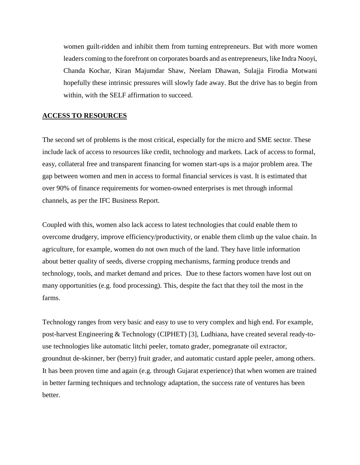women guilt-ridden and inhibit them from turning entrepreneurs. But with more women leaders coming to the forefront on corporates boards and as entrepreneurs, like Indra Nooyi, Chanda Kochar, Kiran Majumdar Shaw, Neelam Dhawan, Sulajja Firodia Motwani hopefully these intrinsic pressures will slowly fade away. But the drive has to begin from within, with the SELF affirmation to succeed.

### **ACCESS TO RESOURCES**

The second set of problems is the most critical, especially for the micro and SME sector. These include lack of access to resources like credit, technology and markets. Lack of access to formal, easy, collateral free and transparent financing for women start-ups is a major problem area. The gap between women and men in access to formal financial services is vast. It is estimated that over 90% of finance requirements for women-owned enterprises is met through informal channels, as per the IFC Business Report.

Coupled with this, women also lack access to latest technologies that could enable them to overcome drudgery, improve efficiency/productivity, or enable them climb up the value chain. In agriculture, for example, women do not own much of the land. They have little information about better quality of seeds, diverse cropping mechanisms, farming produce trends and technology, tools, and market demand and prices. Due to these factors women have lost out on many opportunities (e.g. food processing). This, despite the fact that they toil the most in the farms.

Technology ranges from very basic and easy to use to very complex and high end. For example, post-harvest Engineering & Technology (CIPHET) [\[3\],](file:///C:/Users/TANMAY~1/AppData/Local/Temp/notes142542/~7046125.docx) Ludhiana, have created several ready-touse technologies like automatic litchi peeler, tomato grader, pomegranate oil extractor, groundnut de-skinner, ber (berry) fruit grader, and automatic custard apple peeler, among others. It has been proven time and again (e.g. through Gujarat experience) that when women are trained in better farming techniques and technology adaptation, the success rate of ventures has been better.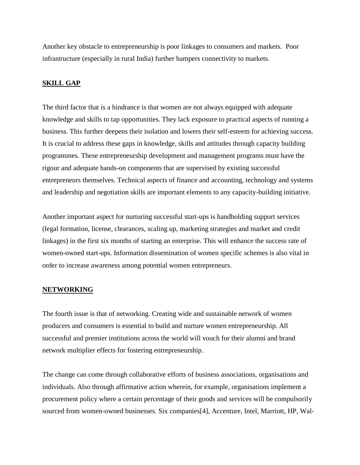Another key obstacle to entrepreneurship is poor linkages to consumers and markets. Poor infrastructure (especially in rural India) further hampers connectivity to markets.

### **SKILL GAP**

The third factor that is a hindrance is that women are not always equipped with adequate knowledge and [skills t](http://www.business-standard.com/search?type=news&q=Skills)o tap opportunities. They lack exposure to practical aspects of running a business. This further deepens their isolation and lowers their self-esteem for achieving success. It is crucial to address these gaps in knowledge, skills and attitudes through capacity building programmes. These entrepreneurship development and management programs must have the rigour and adequate hands-on components that are supervised by existing successful [entrepreneurs t](http://www.business-standard.com/search?type=news&q=Entrepreneurs)hemselves. Technical aspects of finance and accounting, technology and systems and leadership and negotiation skills are important elements to any capacity-building initiative.

Another important aspect for nurturing successful start-ups is handholding support services (legal formation, license, clearances, scaling up, marketing strategies and market and [credit](http://www.business-standard.com/search?type=news&q=Credit)  linkages) in the first six months of starting an enterprise. This will enhance the success rate of women-owned start-ups. Information dissemination of women specific schemes is also vital in order to increase awareness among potential women entrepreneurs.

#### **NETWORKING**

The fourth issue is that of networking. Creating wide and sustainable network of women producers and consumers is essential to build and nurture women entrepreneurship. All successful and premier institutions across the world will vouch for their alumni and brand network multiplier effects for fostering entrepreneurship.

The change can come through collaborative efforts of business associations, organisations and individuals. Also through affirmative action wherein, for example, organisations implement a procurement policy where a certain percentage of their goods and services will be compulsorily sourced from women-owned businesses. Six companie[s\[4\],](file:///C:/Users/TANMAY~1/AppData/Local/Temp/notes142542/~7046125.docx) Accenture, Intel, Marriott, HP, Wal